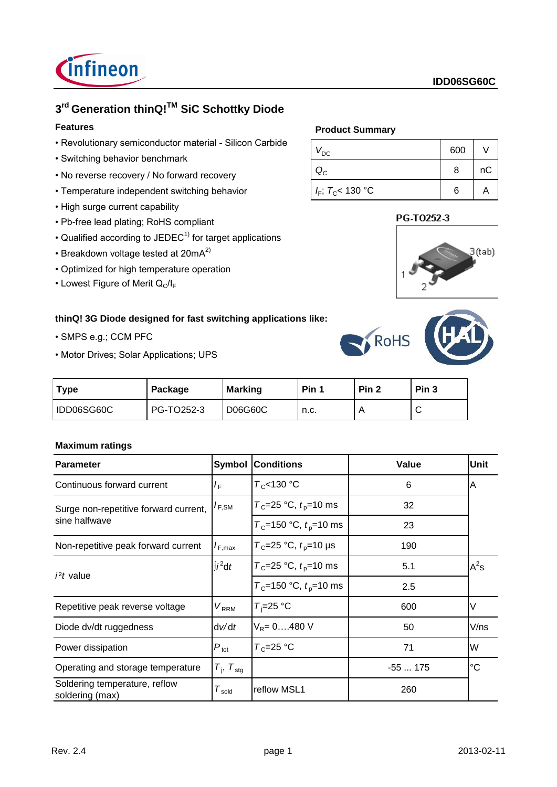

# **3 rd Generation thinQ!TM SiC Schottky Diode**

# **Features**

- Revolutionary semiconductor material Silicon Carbide
- Switching behavior benchmark
- No reverse recovery / No forward recovery
- Temperature independent switching behavior
- High surge current capability
- Pb-free lead plating; RoHS compliant
- Qualified according to JEDEC $<sup>1</sup>$  for target applications</sup>
- Breakdown voltage tested at  $20mA<sup>2</sup>$
- Optimized for high temperature operation
- Lowest Figure of Merit  $Q_C/I_F$

## **thinQ! 3G Diode designed for fast switching applications like:**

- SMPS e.g.; CCM PFC
- Motor Drives; Solar Applications; UPS

### **Product Summary**

| $V_{\text{DC}}$        | 600 |    |
|------------------------|-----|----|
|                        | 8   | пC |
| $I_F$ ; $T_C$ < 130 °C | 6   |    |

# PG-T0252-3





| <b>Type</b> | Package    | <b>Marking</b> | Pin 1 | Pin <sub>2</sub> | Pin <sub>3</sub> |
|-------------|------------|----------------|-------|------------------|------------------|
| IDD06SG60C  | PG-TO252-3 | D06G60C        | n.c.  | n                | ◡                |

### **Maximum ratings**

| <b>Parameter</b>                                 |                             | <b>Symbol Conditions</b>                       | Value    | <b>Unit</b> |
|--------------------------------------------------|-----------------------------|------------------------------------------------|----------|-------------|
| Continuous forward current                       | $I_{\rm F}$                 | $T_c$ <130 °C                                  | 6        | ΙA          |
| Surge non-repetitive forward current,            | $I_{F,SM}$                  | $T_c = 25$ °C, $t_p = 10$ ms                   | 32       |             |
| sine halfwave                                    |                             | $T_c$ =150 °C, $t_p$ =10 ms                    | 23       |             |
| Non-repetitive peak forward current              | $I_{F,max}$                 | $T_c = 25 °C$ , $t_p = 10 \text{ }\mu\text{s}$ | 190      |             |
|                                                  | $\int i^2 dt$               | $T_c = 25$ °C, $t_p = 10$ ms                   | 5.1      | $A^2$ s     |
| $i2t$ value                                      |                             | $T_c$ =150 °C, $t_p$ =10 ms                    | 2.5      |             |
| Repetitive peak reverse voltage                  | $V_{RRM}$                   | $T_i = 25$ °C                                  | 600      | V           |
| Diode dv/dt ruggedness                           | dv/dt                       | $V_R = 0480 V$                                 | 50       | V/ns        |
| Power dissipation                                | $P_{\text{tot}}$            | $T_c = 25$ °C                                  | 71       | W           |
| Operating and storage temperature                | $T_{\rm i}$ , $T_{\rm stg}$ |                                                | $-55175$ | $^{\circ}C$ |
| Soldering temperature, reflow<br>soldering (max) | ${\cal T}_{\sf sold}$       | reflow MSL1                                    | 260      |             |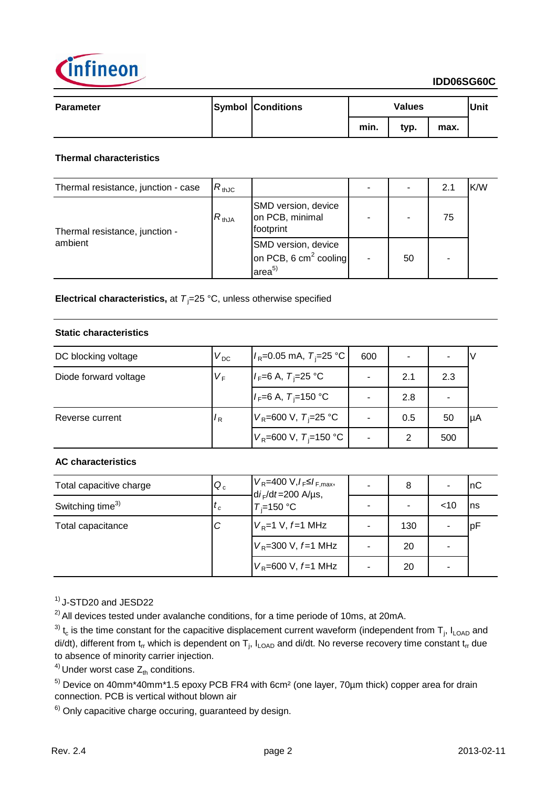

| <b>Parameter</b> | <b>Symbol Conditions</b> |      | <b>Values</b> |      | Unit |
|------------------|--------------------------|------|---------------|------|------|
|                  |                          | min. | typ.          | max. |      |

### **Thermal characteristics**

| Thermal resistance, junction - case | $R_{thJC}$ |                                                                     |    | 2.1 | K/W |
|-------------------------------------|------------|---------------------------------------------------------------------|----|-----|-----|
| Thermal resistance, junction -      | $R_{thJA}$ | SMD version, device<br>on PCB, minimal<br>footprint                 |    | 75  |     |
| ambient                             |            | SMD version, device<br>on PCB, 6 $cm2$ cooling<br>area <sup>5</sup> | 50 | ٠   |     |

**Electrical characteristics,** at  $T_i = 25 \degree C$ , unless otherwise specified

### **Static characteristics**

| DC blocking voltage   | $V_{DC}$ | $I_R$ =0.05 mA, $T_i$ =25 °C             | 600 |     |     |     |
|-----------------------|----------|------------------------------------------|-----|-----|-----|-----|
| Diode forward voltage | $V_F$    | $I_F = 6$ A, $T_F = 25$ °C               |     | 2.1 | 2.3 |     |
|                       |          | $I_F = 6$ A, $T_F = 150$ °C              |     | 2.8 |     |     |
| Reverse current       | $R_{R}$  | $V_R = 600 \text{ V}, T = 25 \text{ °C}$ |     | 0.5 | 50  | luA |
|                       |          | $V_R$ =600 V, T <sub>i</sub> =150 °C     |     | 2   | 500 |     |

## **AC characteristics**

| Total capacitive charge      | $Q_c$     | $V_R$ =400 V, $I_F \leq I_{F,max}$ ,<br>$di_F/dt = 200$ A/µs,<br>$T_i = 150 °C$ |   | 8   |        | InC |
|------------------------------|-----------|---------------------------------------------------------------------------------|---|-----|--------|-----|
| Switching time <sup>3)</sup> | $\iota_c$ |                                                                                 |   |     | $<$ 10 | Ins |
| Total capacitance            | С         | $V_R$ =1 V, f=1 MHz                                                             | - | 130 |        | рF  |
|                              |           | $V_R$ =300 V, $f$ =1 MHz                                                        |   | 20  |        |     |
|                              |           | $V_R$ =600 V, $f=1$ MHz                                                         |   | 20  |        |     |

 $<sup>1</sup>$  J-STD20 and JESD22</sup>

 $^{2)}$  All devices tested under avalanche conditions, for a time periode of 10ms, at 20mA.

<sup>3)</sup> t<sub>c</sub> is the time constant for the capacitive displacement current waveform (independent from T<sub>j</sub>, I<sub>LOAD</sub> and di/dt), different from t<sub>rr</sub> which is dependent on T<sub>j</sub>, I<sub>LOAD</sub> and di/dt. No reverse recovery time constant t<sub>rr</sub> due to absence of minority carrier injection.

<sup>4)</sup> Under worst case  $Z_{th}$  conditions.

<sup>5)</sup> Device on 40mm\*40mm\*1.5 epoxy PCB FR4 with 6cm<sup>2</sup> (one layer, 70µm thick) copper area for drain connection. PCB is vertical without blown air

 $6)$  Only capacitive charge occuring, guaranteed by design.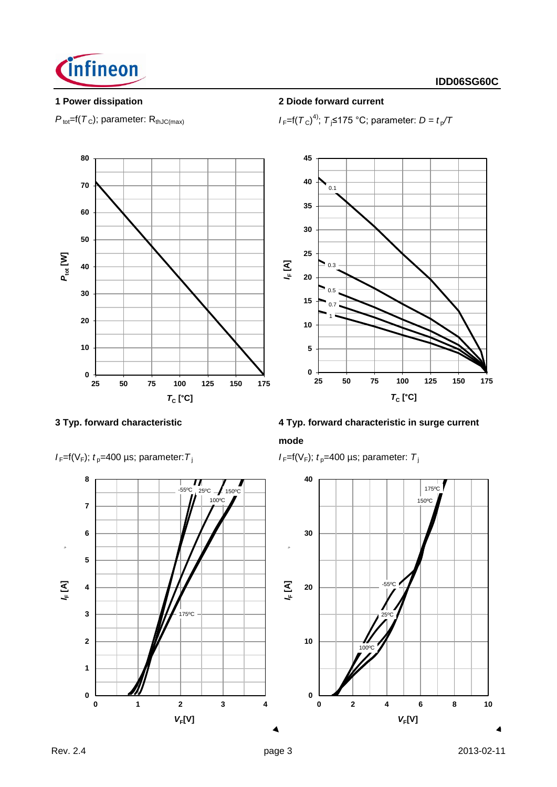

 $P_{\text{tot}}$ =f( $T_c$ ); parameter: R<sub>thJC(max)</sub>

## **1 Power dissipation 2 Diode forward current**

4); *T* <sup>j</sup>≤175 °C; parameter: *D = t* <sup>p</sup> */T*





# **3 Typ. forward characteristic 4 Typ. forward characteristic in surge current mode**

 $I_F=f(V_F)$ ;  $t_p=400 \mu s$ ; parameter:  $T_i$ 



 $I_F=f(V_F)$ ;  $t_p=400 \text{ }\mu\text{s}$ ; parameter:  $T_f$ 

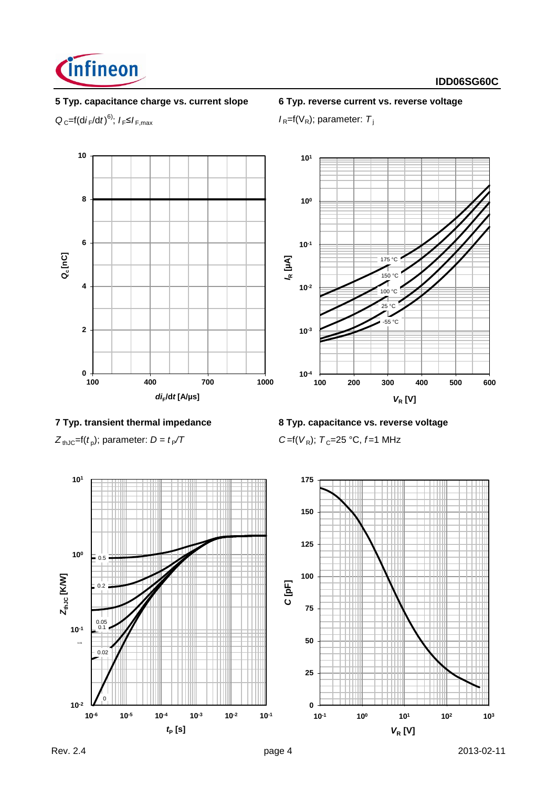

# **5 Typ. capacitance charge vs. current slope 6 Typ. reverse current vs. reverse voltage**

 $Q_{C}$ =f(d*i*<sub>F</sub>/d*t*)<sup>6)</sup>;  $I_{F}$ ≤ $I_{F,max}$ 

 $I_R = f(V_R)$ ; parameter:  $T_i$ 



 $Z_{thJC}$ =f( $t_p$ ); parameter:  $D = t_p/T$ 

**7 Typ. transient thermal impedance 8 Typ. capacitance vs. reverse voltage**

); parameter: *D = t* <sup>P</sup>*/T C* =f(*V* <sup>R</sup>); *T* <sup>C</sup>=25 °C, *f* =1 MHz

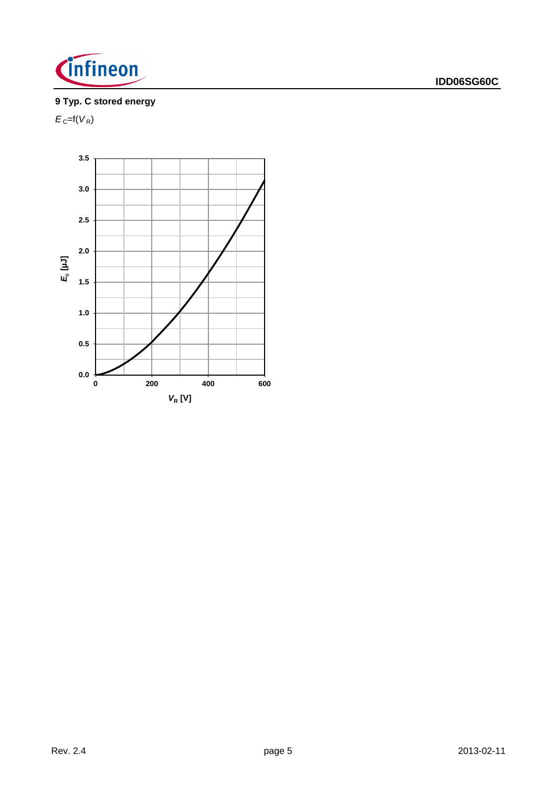

# **9 Typ. C stored energy**

 $E_{\rm C}$ =f( $V_{\rm R}$ )

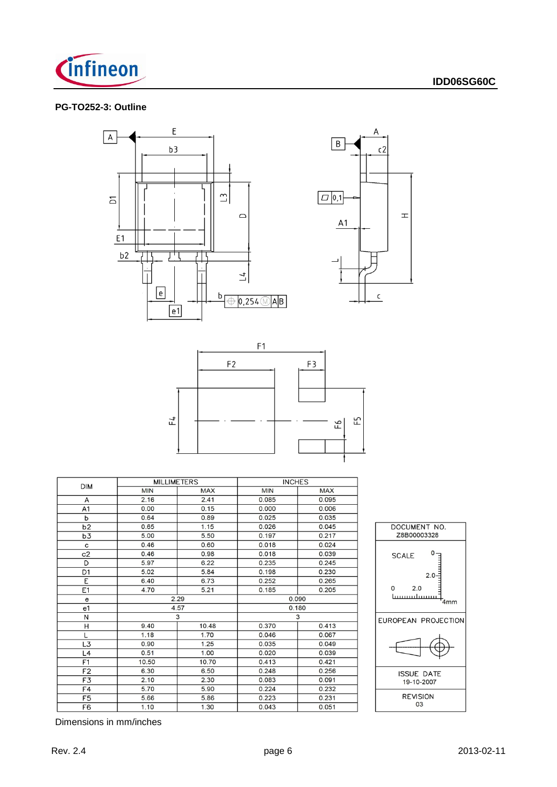

### **PG-TO252-3: Outline**







|                | <b>MILLIMETERS</b> |            | <b>INCHES</b> |            |  |
|----------------|--------------------|------------|---------------|------------|--|
| <b>DIM</b>     | <b>MIN</b>         | <b>MAX</b> | <b>MIN</b>    | <b>MAX</b> |  |
| А              | 2.16               | 2.41       | 0.085         | 0.095      |  |
| A1             | 0.00               | 0.15       | 0.000         | 0.006      |  |
| р              | 0.64               | 0.89       | 0.025         | 0.035      |  |
| b2             | 0.65               | 1.15       | 0.026         | 0.045      |  |
| b3             | 5.00               | 5.50       | 0.197         | 0.217      |  |
| с              | 0.46               | 0.60       | 0.018         | 0.024      |  |
| c2             | 0.46               | 0.98       | 0.018         | 0.039      |  |
| D              | 5.97               | 6.22       | 0.235         | 0.245      |  |
| D <sub>1</sub> | 5.02               | 5.84       | 0.198         | 0.230      |  |
| E              | 6.40               | 6.73       | 0.252         | 0.265      |  |
| E1             | 4.70               | 5.21       | 0.185         | 0.205      |  |
| e              |                    | 2.29       |               | 0.090      |  |
| e1             |                    | 4.57       | 0.180         |            |  |
| N              |                    | 3          | 3             |            |  |
| Η              | 9.40               | 10.48      | 0.370         | 0.413      |  |
| L              | 1.18               | 1.70       | 0.046         | 0.067      |  |
| L3             | 0.90               | 1.25       | 0.035         | 0.049      |  |
| L4             | 0.51               | 1.00       | 0.020         | 0.039      |  |
| F1             | 10.50              | 10.70      | 0.413         | 0.421      |  |
| F <sub>2</sub> | 6.30               | 6.50       | 0.248         | 0.256      |  |
| F3             | 2.10               | 2.30       | 0.083         | 0.091      |  |
| F4             | 5.70               | 5.90       | 0.224         | 0.232      |  |
| F <sub>5</sub> | 5.66               | 5.86       | 0.223         | 0.231      |  |
| F6             | 1.10               | 1.30       | 0.043         | 0.051      |  |



Dimensions in mm/inches